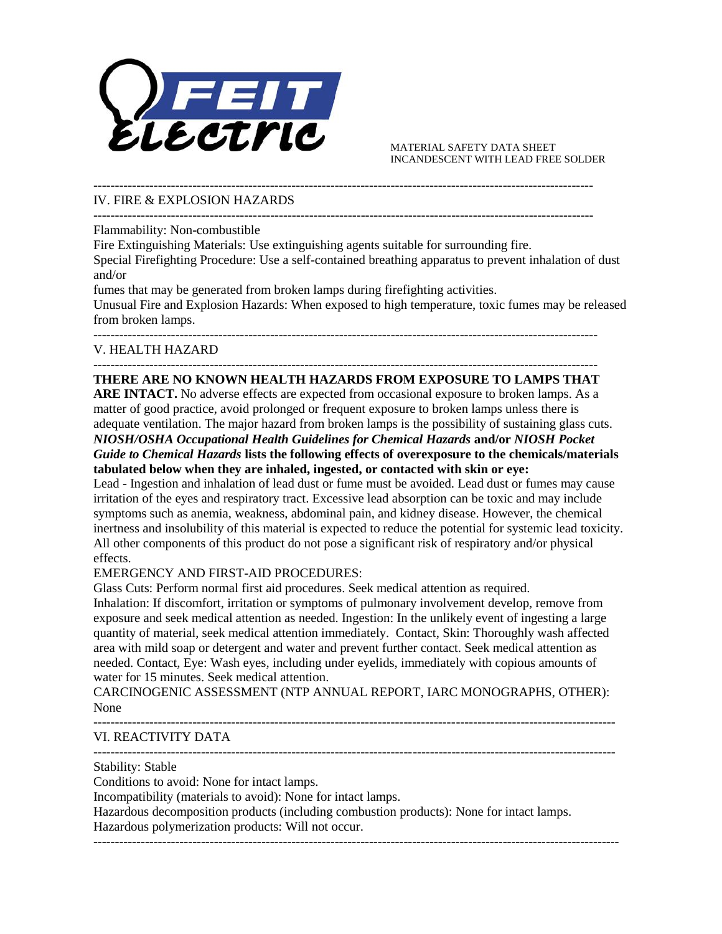

 MATERIAL SAFETY DATA SHEET INCANDESCENT WITH LEAD FREE SOLDER

--------------------------------------------------------------------------------------------------------------------

# IV. FIRE & EXPLOSION HAZARDS

--------------------------------------------------------------------------------------------------------------------

Flammability: Non-combustible

Fire Extinguishing Materials: Use extinguishing agents suitable for surrounding fire.

Special Firefighting Procedure: Use a self-contained breathing apparatus to prevent inhalation of dust and/or

fumes that may be generated from broken lamps during firefighting activities.

Unusual Fire and Explosion Hazards: When exposed to high temperature, toxic fumes may be released from broken lamps.

---------------------------------------------------------------------------------------------------------------------

# V. HEALTH HAZARD

### --------------------------------------------------------------------------------------------------------------------- **THERE ARE NO KNOWN HEALTH HAZARDS FROM EXPOSURE TO LAMPS THAT**

**ARE INTACT.** No adverse effects are expected from occasional exposure to broken lamps. As a matter of good practice, avoid prolonged or frequent exposure to broken lamps unless there is adequate ventilation. The major hazard from broken lamps is the possibility of sustaining glass cuts. *NIOSH/OSHA Occupational Health Guidelines for Chemical Hazards* **and/or** *NIOSH Pocket Guide to Chemical Hazards* **lists the following effects of overexposure to the chemicals/materials tabulated below when they are inhaled, ingested, or contacted with skin or eye:** 

 irritation of the eyes and respiratory tract. Excessive lead absorption can be toxic and may include inertness and insolubility of this material is expected to reduce the potential for systemic lead toxicity. All other components of this product do not pose a significant risk of respiratory and/or physical Lead - Ingestion and inhalation of lead dust or fume must be avoided. Lead dust or fumes may cause symptoms such as anemia, weakness, abdominal pain, and kidney disease. However, the chemical effects.

## EMERGENCY AND FIRST-AID PROCEDURES:

Glass Cuts: Perform normal first aid procedures. Seek medical attention as required.

 area with mild soap or detergent and water and prevent further contact. Seek medical attention as Inhalation: If discomfort, irritation or symptoms of pulmonary involvement develop, remove from exposure and seek medical attention as needed. Ingestion: In the unlikely event of ingesting a large quantity of material, seek medical attention immediately. Contact, Skin: Thoroughly wash affected needed. Contact, Eye: Wash eyes, including under eyelids, immediately with copious amounts of water for 15 minutes. Seek medical attention.

CARCINOGENIC ASSESSMENT (NTP ANNUAL REPORT, IARC MONOGRAPHS, OTHER): None

-------------------------------------------------------------------------------------------------------------------------

------------------------------------------------------------------------------------------------------------------------- VI. REACTIVITY DATA

Stability: Stable

Conditions to avoid: None for intact lamps.

Incompatibility (materials to avoid): None for intact lamps.

Hazardous decomposition products (including combustion products): None for intact lamps.

--------------------------------------------------------------------------------------------------------------------------

Hazardous polymerization products: Will not occur.